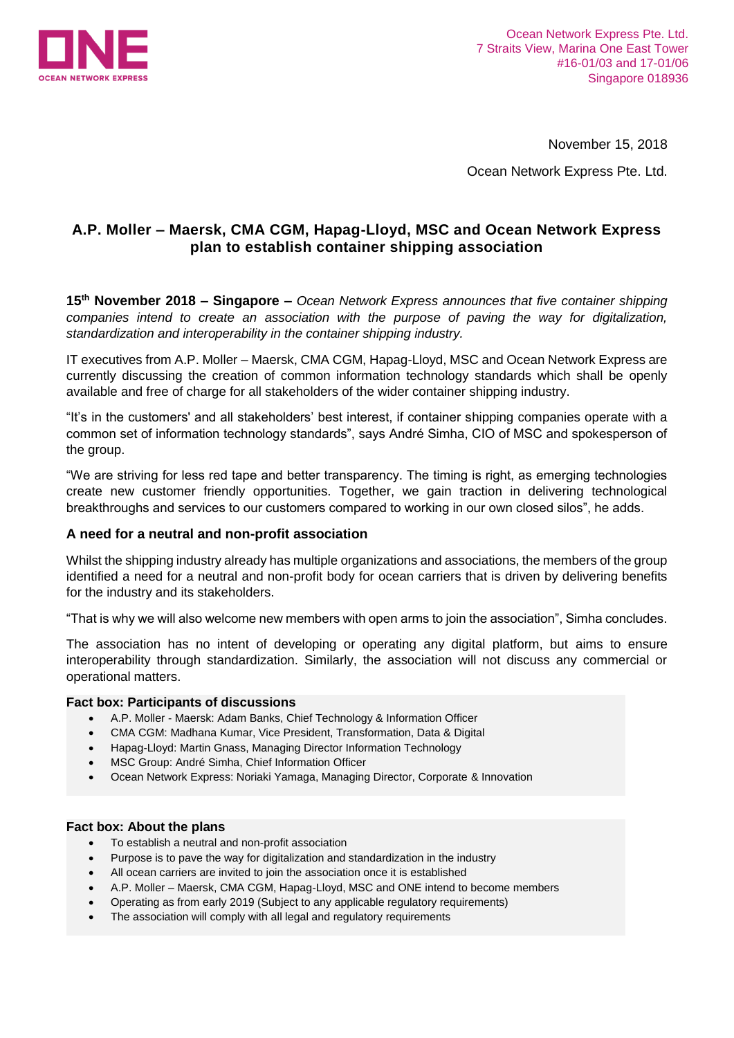

November 15, 2018

Ocean Network Express Pte. Ltd.

# **A.P. Moller – Maersk, CMA CGM, Hapag-Lloyd, MSC and Ocean Network Express plan to establish container shipping association**

**15 th November 2018 – Singapore –** *Ocean Network Express announces that five container shipping companies intend to create an association with the purpose of paving the way for digitalization, standardization and interoperability in the container shipping industry.*

IT executives from A.P. Moller – Maersk, CMA CGM, Hapag-Lloyd, MSC and Ocean Network Express are currently discussing the creation of common information technology standards which shall be openly available and free of charge for all stakeholders of the wider container shipping industry.

"It's in the customers' and all stakeholders' best interest, if container shipping companies operate with a common set of information technology standards", says André Simha, CIO of MSC and spokesperson of the group.

"We are striving for less red tape and better transparency. The timing is right, as emerging technologies create new customer friendly opportunities. Together, we gain traction in delivering technological breakthroughs and services to our customers compared to working in our own closed silos", he adds.

## **A need for a neutral and non-profit association**

Whilst the shipping industry already has multiple organizations and associations, the members of the group identified a need for a neutral and non-profit body for ocean carriers that is driven by delivering benefits for the industry and its stakeholders.

"That is why we will also welcome new members with open arms to join the association", Simha concludes.

The association has no intent of developing or operating any digital platform, but aims to ensure interoperability through standardization. Similarly, the association will not discuss any commercial or operational matters.

#### **Fact box: Participants of discussions**

- A.P. Moller Maersk: Adam Banks, Chief Technology & Information Officer
- CMA CGM: Madhana Kumar, Vice President, Transformation, Data & Digital
- Hapag-Lloyd: Martin Gnass, Managing Director Information Technology
- **MSC Group: André Simha, Chief Information Officer**
- Ocean Network Express: Noriaki Yamaga, Managing Director, Corporate & Innovation

#### **Fact box: About the plans**

- To establish a neutral and non-profit association
- Purpose is to pave the way for digitalization and standardization in the industry
- All ocean carriers are invited to join the association once it is established
- A.P. Moller Maersk, CMA CGM, Hapag-Lloyd, MSC and ONE intend to become members
- Operating as from early 2019 (Subject to any applicable regulatory requirements)
- The association will comply with all legal and regulatory requirements